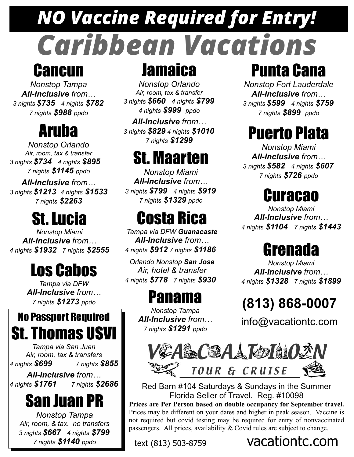# *NO Vaccine Required for Entry! Caribbean Vacations*

#### **Cancun**

*Nonstop Tampa All-Inclusive from… 3 nights \$735 4 nights \$782 7 nights \$988 ppdo*

### Aruba

*Nonstop Orlando Air, room, tax & transfer 3 nights \$734 4 nights \$895 7 nights \$1145 ppdo*

*All-Inclusive from… 3 nights \$1213 4 nights \$1533 7 nights \$2263*

*4 nights* \$1932 *7 nights* \$2555 4 *nights* \$912 *7 nights* \$1186 Grenada *Nonstop Miami All-Inclusive from…*

# Los Cabos

*Tampa via DFW All-Inclusive from… 7 nights \$1273 ppdo* Panama

#### No Passport Required St. Thomas USVI

*Tampa via San Juan Air, room, tax & transfers 4 nights \$699 7 nights \$855*

*All-Inclusive from… 4 nights \$1761 7 nights \$2686*

#### San Juan PR

*Nonstop Tampa Air, room, & tax. no transfers 3 nights \$667 4 nights \$799 7 nights \$1140 ppdo*

# **Jamaica**

*Nonstop Orlando Air, room, tax & transfer 3 nights \$660 4 nights \$799 4 nights \$999 ppdo*

*All-Inclusive from… 3 nights \$829 4 nights \$1010 7 nights \$1299*

## St. Maarten

*Nonstop Miami All-Inclusive from… 3 nights \$799 4 nights \$919 7 nights \$1329 ppdo*

*Tampa via DFW Guanacaste All-Inclusive from…*

*Orlando Nonstop San Jose Air, hotel & transfer 4 nights \$778 7 nights \$930*

*Nonstop Tampa All-Inclusive from… 7 nights \$1291 ppdo*

#### Punta Cana

*Nonstop Fort Lauderdale All-Inclusive from… 3 nights \$599 4 nights \$759 7 nights \$899 ppdo*

#### Puerto Plata

*Nonstop Miami All-Inclusive from… 3 nights \$582 4 nights \$607 7 nights \$726 ppdo*

#### Curacao

**St. Lucia Costa Rica** *All-Inclusive from...*<br> *4 nights* \$1104 7 *nights* \$1443 *Nonstop Miami All-Inclusive from…*

*Nonstop Miami All-Inclusive from… 4 nights \$1328 7 nights \$1899*

#### **(813) 868-0007**

info@vacationtc.com



Red Barn #104 Saturdays & Sundays in the Summer Florida Seller of Travel. Reg. #10098 **Prices are Per Person based on double occupancy for September travel.**  Prices may be different on your dates and higher in peak season. Vaccine is not required but covid testing may be required for entry of nonvaccinated passengers. All prices, availability & Covid rules are subject to change.